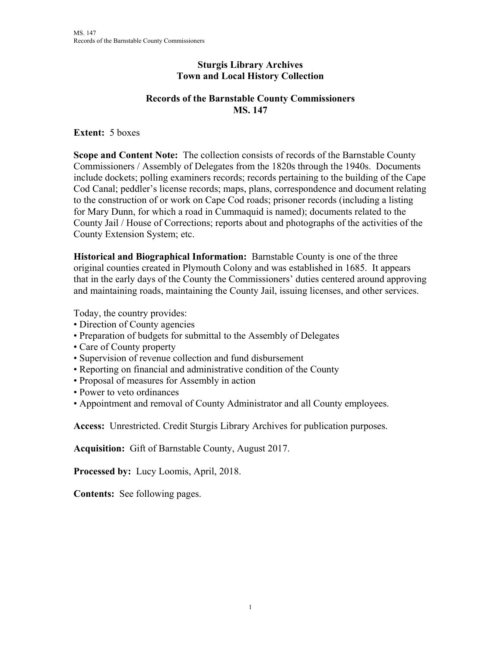## **Sturgis Library Archives Town and Local History Collection**

## **Records of the Barnstable County Commissioners MS. 147**

**Extent:** 5 boxes

**Scope and Content Note:** The collection consists of records of the Barnstable County Commissioners / Assembly of Delegates from the 1820s through the 1940s. Documents include dockets; polling examiners records; records pertaining to the building of the Cape Cod Canal; peddler's license records; maps, plans, correspondence and document relating to the construction of or work on Cape Cod roads; prisoner records (including a listing for Mary Dunn, for which a road in Cummaquid is named); documents related to the County Jail / House of Corrections; reports about and photographs of the activities of the County Extension System; etc.

**Historical and Biographical Information:** Barnstable County is one of the three original counties created in Plymouth Colony and was established in 1685. It appears that in the early days of the County the Commissioners' duties centered around approving and maintaining roads, maintaining the County Jail, issuing licenses, and other services.

Today, the country provides:

- Direction of County agencies
- Preparation of budgets for submittal to the Assembly of Delegates
- Care of County property
- Supervision of revenue collection and fund disbursement
- Reporting on financial and administrative condition of the County
- Proposal of measures for Assembly in action
- Power to veto ordinances
- Appointment and removal of County Administrator and all County employees.

**Access:** Unrestricted. Credit Sturgis Library Archives for publication purposes.

**Acquisition:** Gift of Barnstable County, August 2017.

**Processed by:** Lucy Loomis, April, 2018.

**Contents:** See following pages.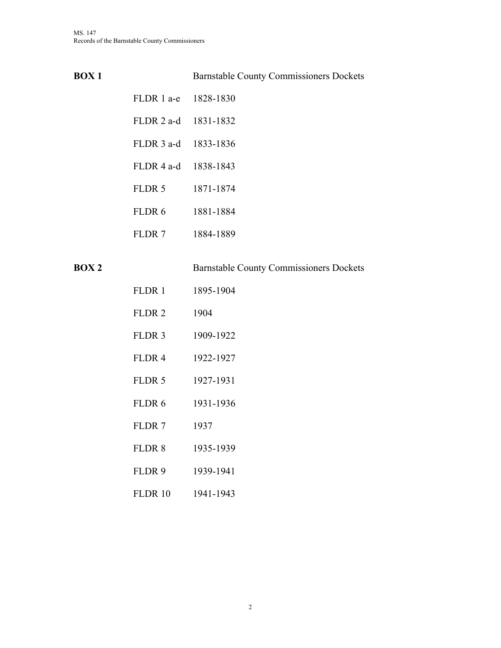| <b>BOX1</b> |                      | <b>Barnstable County Commissioners Dockets</b> |
|-------------|----------------------|------------------------------------------------|
|             | FLDR 1 a-e 1828-1830 |                                                |
|             | FLDR 2 a-d 1831-1832 |                                                |
|             | FLDR 3 a-d 1833-1836 |                                                |
|             | FLDR 4 a-d 1838-1843 |                                                |
|             | FLDR 5               | 1871-1874                                      |
|             | FLDR 6               | 1881-1884                                      |
|             | FLDR 7               | 1884-1889                                      |
| <b>BOX2</b> |                      | <b>Barnstable County Commissioners Dockets</b> |
|             | FLDR 1               | 1895-1904                                      |
|             | FLDR <sub>2</sub>    | 1904                                           |
|             | FLDR 3               | 1909-1922                                      |
|             | FLDR <sub>4</sub>    | 1922-1927                                      |
|             | FLDR 5               | 1927-1931                                      |
|             | FLDR 6               | 1931-1936                                      |
|             | FLDR <sub>7</sub>    | 1937                                           |
|             | FLDR 8               | 1935-1939                                      |
|             | FLDR 9               | 1939-1941                                      |
|             | <b>FLDR 10</b>       | 1941-1943                                      |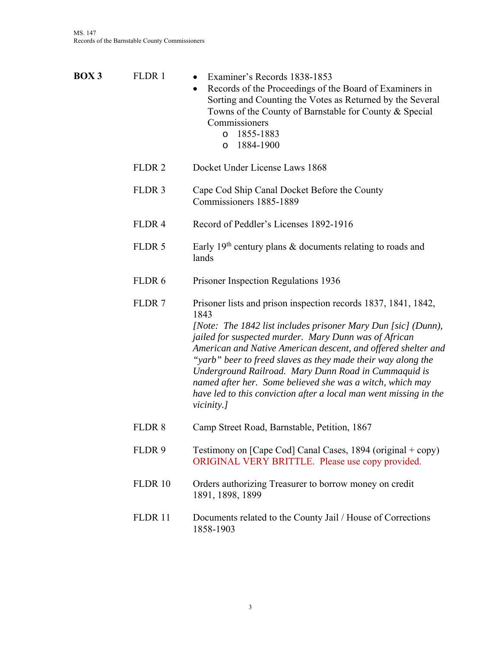| <b>BOX 3</b> | FLDR 1            | Examiner's Records 1838-1853<br>Records of the Proceedings of the Board of Examiners in<br>Sorting and Counting the Votes as Returned by the Several<br>Towns of the County of Barnstable for County & Special<br>Commissioners<br>1855-1883<br>O<br>1884-1900<br>$\circ$                                                                                                                                                                                                                                                                 |
|--------------|-------------------|-------------------------------------------------------------------------------------------------------------------------------------------------------------------------------------------------------------------------------------------------------------------------------------------------------------------------------------------------------------------------------------------------------------------------------------------------------------------------------------------------------------------------------------------|
|              | FLDR <sub>2</sub> | Docket Under License Laws 1868                                                                                                                                                                                                                                                                                                                                                                                                                                                                                                            |
|              | FLDR <sub>3</sub> | Cape Cod Ship Canal Docket Before the County<br>Commissioners 1885-1889                                                                                                                                                                                                                                                                                                                                                                                                                                                                   |
|              | FLDR <sub>4</sub> | Record of Peddler's Licenses 1892-1916                                                                                                                                                                                                                                                                                                                                                                                                                                                                                                    |
|              | FLDR 5            | Early 19 <sup>th</sup> century plans & documents relating to roads and<br>lands                                                                                                                                                                                                                                                                                                                                                                                                                                                           |
|              | FLDR 6            | Prisoner Inspection Regulations 1936                                                                                                                                                                                                                                                                                                                                                                                                                                                                                                      |
|              | FLDR <sub>7</sub> | Prisoner lists and prison inspection records 1837, 1841, 1842,<br>1843<br>[Note: The 1842 list includes prisoner Mary Dun [sic] (Dunn),<br>jailed for suspected murder. Mary Dunn was of African<br>American and Native American descent, and offered shelter and<br>"yarb" beer to freed slaves as they made their way along the<br>Underground Railroad. Mary Dunn Road in Cummaquid is<br>named after her. Some believed she was a witch, which may<br>have led to this conviction after a local man went missing in the<br>vicinity.] |
|              | FLDR <sub>8</sub> | Camp Street Road, Barnstable, Petition, 1867                                                                                                                                                                                                                                                                                                                                                                                                                                                                                              |
|              | FLDR 9            | Testimony on [Cape Cod] Canal Cases, $1894$ (original + copy)<br>ORIGINAL VERY BRITTLE. Please use copy provided.                                                                                                                                                                                                                                                                                                                                                                                                                         |
|              | <b>FLDR 10</b>    | Orders authorizing Treasurer to borrow money on credit<br>1891, 1898, 1899                                                                                                                                                                                                                                                                                                                                                                                                                                                                |
|              | FLDR 11           | Documents related to the County Jail / House of Corrections<br>1858-1903                                                                                                                                                                                                                                                                                                                                                                                                                                                                  |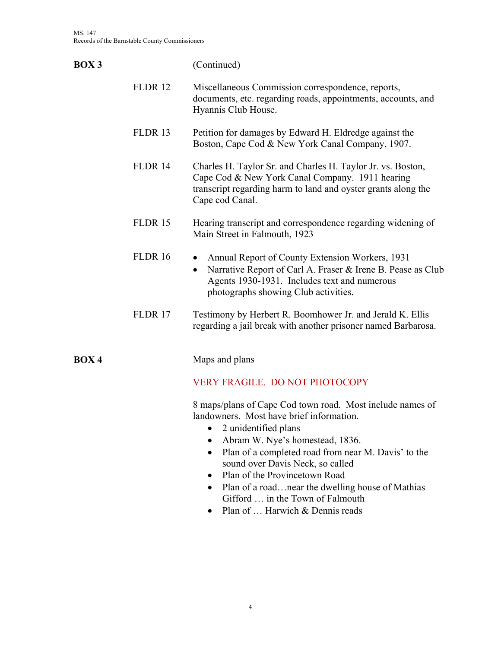| <b>BOX3</b> |                    | (Continued)                                                                                                                                                                                                                                                                                                                         |
|-------------|--------------------|-------------------------------------------------------------------------------------------------------------------------------------------------------------------------------------------------------------------------------------------------------------------------------------------------------------------------------------|
|             | <b>FLDR12</b>      | Miscellaneous Commission correspondence, reports,<br>documents, etc. regarding roads, appointments, accounts, and<br>Hyannis Club House.                                                                                                                                                                                            |
|             | FLDR <sub>13</sub> | Petition for damages by Edward H. Eldredge against the<br>Boston, Cape Cod & New York Canal Company, 1907.                                                                                                                                                                                                                          |
|             | <b>FLDR 14</b>     | Charles H. Taylor Sr. and Charles H. Taylor Jr. vs. Boston,<br>Cape Cod & New York Canal Company. 1911 hearing<br>transcript regarding harm to land and oyster grants along the<br>Cape cod Canal.                                                                                                                                  |
|             | <b>FLDR15</b>      | Hearing transcript and correspondence regarding widening of<br>Main Street in Falmouth, 1923                                                                                                                                                                                                                                        |
|             | <b>FLDR 16</b>     | Annual Report of County Extension Workers, 1931<br>Narrative Report of Carl A. Fraser & Irene B. Pease as Club<br>$\bullet$<br>Agents 1930-1931. Includes text and numerous<br>photographs showing Club activities.                                                                                                                 |
|             | FLDR 17            | Testimony by Herbert R. Boomhower Jr. and Jerald K. Ellis<br>regarding a jail break with another prisoner named Barbarosa.                                                                                                                                                                                                          |
| <b>BOX4</b> |                    | Maps and plans                                                                                                                                                                                                                                                                                                                      |
|             |                    | <b>VERY FRAGILE. DO NOT PHOTOCOPY</b>                                                                                                                                                                                                                                                                                               |
|             |                    | 8 maps/plans of Cape Cod town road. Most include names of<br>landowners. Most have brief information.<br>2 unidentified plans<br>$\bullet$<br>Abram W. Nye's homestead, 1836.<br>$\bullet$<br>Plan of a completed road from near M. Davis' to the<br>$\bullet$<br>sound over Davis Neck, so called<br>Plan of the Provincetown Road |

- Plan of a road...near the dwelling house of Mathias Gifford … in the Town of Falmouth
- Plan of ... Harwich & Dennis reads